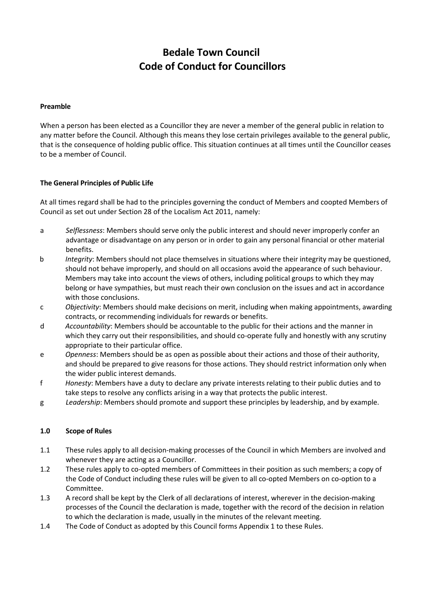# **Bedale Town Council Code of Conduct for Councillors**

### **Preamble**

When a person has been elected as a Councillor they are never a member of the general public in relation to any matter before the Council. Although this means they lose certain privileges available to the general public, that is the consequence of holding public office. This situation continues at all times until the Councillor ceases to be a member of Council.

### **The General Principles of Public Life**

At all times regard shall be had to the principles governing the conduct of Members and coopted Members of Council as set out under Section 28 of the Localism Act 2011, namely:

- a *Selflessness*: Members should serve only the public interest and should never improperly confer an advantage or disadvantage on any person or in order to gain any personal financial or other material benefits.
- b *Integrity*: Members should not place themselves in situations where their integrity may be questioned, should not behave improperly, and should on all occasions avoid the appearance of such behaviour. Members may take into account the views of others, including political groups to which they may belong or have sympathies, but must reach their own conclusion on the issues and act in accordance with those conclusions.
- c *Objectivity*: Members should make decisions on merit, including when making appointments, awarding contracts, or recommending individuals for rewards or benefits.
- d *Accountability*: Members should be accountable to the public for their actions and the manner in which they carry out their responsibilities, and should co-operate fully and honestly with any scrutiny appropriate to their particular office.
- e *Openness*: Members should be as open as possible about their actions and those of their authority, and should be prepared to give reasons for those actions. They should restrict information only when the wider public interest demands.
- f *Honesty*: Members have a duty to declare any private interests relating to their public duties and to take steps to resolve any conflicts arising in a way that protects the public interest.
- g *Leadership*: Members should promote and support these principles by leadership, and by example.

#### **1.0 Scope of Rules**

- 1.1 These rules apply to all decision-making processes of the Council in which Members are involved and whenever they are acting as a Councillor.
- 1.2 These rules apply to co-opted members of Committees in their position as such members; a copy of the Code of Conduct including these rules will be given to all co-opted Members on co-option to a Committee.
- 1.3 A record shall be kept by the Clerk of all declarations of interest, wherever in the decision-making processes of the Council the declaration is made, together with the record of the decision in relation to which the declaration is made, usually in the minutes of the relevant meeting.
- 1.4 The Code of Conduct as adopted by this Council forms Appendix 1 to these Rules.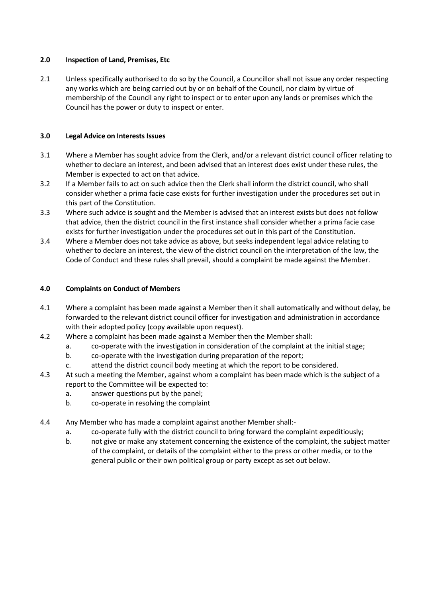### **2.0 Inspection of Land, Premises, Etc**

2.1 Unless specifically authorised to do so by the Council, a Councillor shall not issue any order respecting any works which are being carried out by or on behalf of the Council, nor claim by virtue of membership of the Council any right to inspect or to enter upon any lands or premises which the Council has the power or duty to inspect or enter.

### **3.0 Legal Advice on Interests Issues**

- 3.1 Where a Member has sought advice from the Clerk, and/or a relevant district council officer relating to whether to declare an interest, and been advised that an interest does exist under these rules, the Member is expected to act on that advice.
- 3.2 If a Member fails to act on such advice then the Clerk shall inform the district council, who shall consider whether a prima facie case exists for further investigation under the procedures set out in this part of the Constitution.
- 3.3 Where such advice is sought and the Member is advised that an interest exists but does not follow that advice, then the district council in the first instance shall consider whether a prima facie case exists for further investigation under the procedures set out in this part of the Constitution.
- 3.4 Where a Member does not take advice as above, but seeks independent legal advice relating to whether to declare an interest, the view of the district council on the interpretation of the law, the Code of Conduct and these rules shall prevail, should a complaint be made against the Member.

### **4.0 Complaints on Conduct of Members**

- 4.1 Where a complaint has been made against a Member then it shall automatically and without delay, be forwarded to the relevant district council officer for investigation and administration in accordance with their adopted policy (copy available upon request).
- 4.2 Where a complaint has been made against a Member then the Member shall:
	- a. co-operate with the investigation in consideration of the complaint at the initial stage;
	- b. co-operate with the investigation during preparation of the report;
	- c. attend the district council body meeting at which the report to be considered.
- 4.3 At such a meeting the Member, against whom a complaint has been made which is the subject of a report to the Committee will be expected to:
	- a. answer questions put by the panel;
	- b. co-operate in resolving the complaint
- 4.4 Any Member who has made a complaint against another Member shall:
	- a. co-operate fully with the district council to bring forward the complaint expeditiously;
	- b. not give or make any statement concerning the existence of the complaint, the subject matter of the complaint, or details of the complaint either to the press or other media, or to the general public or their own political group or party except as set out below.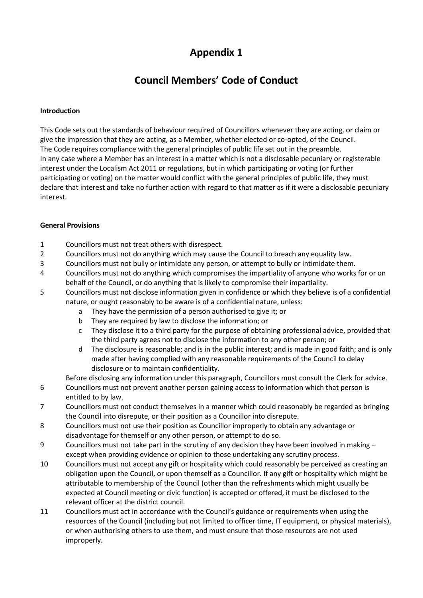# **Appendix 1**

# **Council Members' Code of Conduct**

### **Introduction**

This Code sets out the standards of behaviour required of Councillors whenever they are acting, or claim or give the impression that they are acting, as a Member, whether elected or co-opted, of the Council. The Code requires compliance with the general principles of public life set out in the preamble. In any case where a Member has an interest in a matter which is not a disclosable pecuniary or registerable interest under the Localism Act 2011 or regulations, but in which participating or voting (or further participating or voting) on the matter would conflict with the general principles of public life, they must declare that interest and take no further action with regard to that matter as if it were a disclosable pecuniary interest.

### **General Provisions**

- 1 Councillors must not treat others with disrespect.
- 2 Councillors must not do anything which may cause the Council to breach any equality law.
- 3 Councillors must not bully or intimidate any person, or attempt to bully or intimidate them.
- 4 Councillors must not do anything which compromises the impartiality of anyone who works for or on behalf of the Council, or do anything that is likely to compromise their impartiality.
- 5 Councillors must not disclose information given in confidence or which they believe is of a confidential nature, or ought reasonably to be aware is of a confidential nature, unless:
	- a They have the permission of a person authorised to give it; or
	- b They are required by law to disclose the information; or
	- c They disclose it to a third party for the purpose of obtaining professional advice, provided that the third party agrees not to disclose the information to any other person; or
	- d The disclosure is reasonable; and is in the public interest; and is made in good faith; and is only made after having complied with any reasonable requirements of the Council to delay disclosure or to maintain confidentiality.

Before disclosing any information under this paragraph, Councillors must consult the Clerk for advice.

- 6 Councillors must not prevent another person gaining access to information which that person is entitled to by law.
- 7 Councillors must not conduct themselves in a manner which could reasonably be regarded as bringing the Council into disrepute, or their position as a Councillor into disrepute.
- 8 Councillors must not use their position as Councillor improperly to obtain any advantage or disadvantage for themself or any other person, or attempt to do so.
- 9 Councillors must not take part in the scrutiny of any decision they have been involved in making except when providing evidence or opinion to those undertaking any scrutiny process.
- 10 Councillors must not accept any gift or hospitality which could reasonably be perceived as creating an obligation upon the Council, or upon themself as a Councillor. If any gift or hospitality which might be attributable to membership of the Council (other than the refreshments which might usually be expected at Council meeting or civic function) is accepted or offered, it must be disclosed to the relevant officer at the district council.
- 11 Councillors must act in accordance with the Council's guidance or requirements when using the resources of the Council (including but not limited to officer time, IT equipment, or physical materials), or when authorising others to use them, and must ensure that those resources are not used improperly.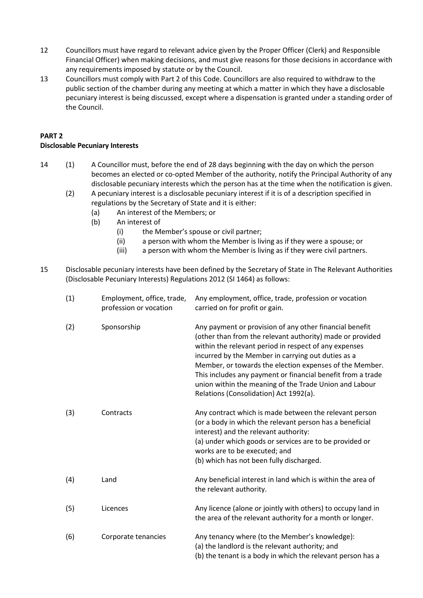- 12 Councillors must have regard to relevant advice given by the Proper Officer (Clerk) and Responsible Financial Officer) when making decisions, and must give reasons for those decisions in accordance with any requirements imposed by statute or by the Council.
- 13 Councillors must comply with Part 2 of this Code. Councillors are also required to withdraw to the public section of the chamber during any meeting at which a matter in which they have a disclosable pecuniary interest is being discussed, except where a dispensation is granted under a standing order of the Council.

## **PART 2 Disclosable Pecuniary Interests**

- 14 (1) A Councillor must, before the end of 28 days beginning with the day on which the person becomes an elected or co-opted Member of the authority, notify the Principal Authority of any disclosable pecuniary interests which the person has at the time when the notification is given.
	- (2) A pecuniary interest is a disclosable pecuniary interest if it is of a description specified in regulations by the Secretary of State and it is either:
		- (a) An interest of the Members; or
		- (b) An interest of
			- (i) the Member's spouse or civil partner;
			- (ii) a person with whom the Member is living as if they were a spouse; or
			- (iii) a person with whom the Member is living as if they were civil partners.
- 15 Disclosable pecuniary interests have been defined by the Secretary of State in The Relevant Authorities (Disclosable Pecuniary Interests) Regulations 2012 (SI 1464) as follows:

| (1) | Employment, office, trade,<br>profession or vocation | Any employment, office, trade, profession or vocation<br>carried on for profit or gain.                                                                                                                                                                                                                                                                                                                                                                           |
|-----|------------------------------------------------------|-------------------------------------------------------------------------------------------------------------------------------------------------------------------------------------------------------------------------------------------------------------------------------------------------------------------------------------------------------------------------------------------------------------------------------------------------------------------|
| (2) | Sponsorship                                          | Any payment or provision of any other financial benefit<br>(other than from the relevant authority) made or provided<br>within the relevant period in respect of any expenses<br>incurred by the Member in carrying out duties as a<br>Member, or towards the election expenses of the Member.<br>This includes any payment or financial benefit from a trade<br>union within the meaning of the Trade Union and Labour<br>Relations (Consolidation) Act 1992(a). |
| (3) | Contracts                                            | Any contract which is made between the relevant person<br>(or a body in which the relevant person has a beneficial<br>interest) and the relevant authority:<br>(a) under which goods or services are to be provided or<br>works are to be executed; and<br>(b) which has not been fully discharged.                                                                                                                                                               |
| (4) | Land                                                 | Any beneficial interest in land which is within the area of<br>the relevant authority.                                                                                                                                                                                                                                                                                                                                                                            |
| (5) | Licences                                             | Any licence (alone or jointly with others) to occupy land in<br>the area of the relevant authority for a month or longer.                                                                                                                                                                                                                                                                                                                                         |
| (6) | Corporate tenancies                                  | Any tenancy where (to the Member's knowledge):<br>(a) the landlord is the relevant authority; and<br>(b) the tenant is a body in which the relevant person has a                                                                                                                                                                                                                                                                                                  |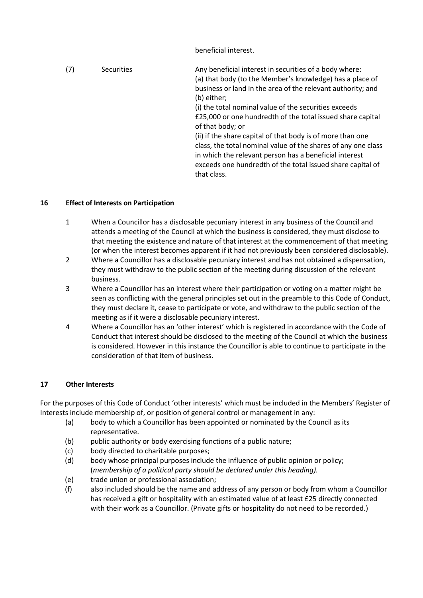beneficial interest.

| (7) | <b>Securities</b> | Any beneficial interest in securities of a body where:<br>(a) that body (to the Member's knowledge) has a place of<br>business or land in the area of the relevant authority; and<br>(b) either;                                                                   |
|-----|-------------------|--------------------------------------------------------------------------------------------------------------------------------------------------------------------------------------------------------------------------------------------------------------------|
|     |                   | (i) the total nominal value of the securities exceeds<br>£25,000 or one hundredth of the total issued share capital<br>of that body; or                                                                                                                            |
|     |                   | (ii) if the share capital of that body is of more than one<br>class, the total nominal value of the shares of any one class<br>in which the relevant person has a beneficial interest<br>exceeds one hundredth of the total issued share capital of<br>that class. |

## **16 Effect of Interests on Participation**

- 1 When a Councillor has a disclosable pecuniary interest in any business of the Council and attends a meeting of the Council at which the business is considered, they must disclose to that meeting the existence and nature of that interest at the commencement of that meeting (or when the interest becomes apparent if it had not previously been considered disclosable).
- 2 Where a Councillor has a disclosable pecuniary interest and has not obtained a dispensation, they must withdraw to the public section of the meeting during discussion of the relevant business.
- 3 Where a Councillor has an interest where their participation or voting on a matter might be seen as conflicting with the general principles set out in the preamble to this Code of Conduct, they must declare it, cease to participate or vote, and withdraw to the public section of the meeting as if it were a disclosable pecuniary interest.
- 4 Where a Councillor has an 'other interest' which is registered in accordance with the Code of Conduct that interest should be disclosed to the meeting of the Council at which the business is considered. However in this instance the Councillor is able to continue to participate in the consideration of that item of business.

# **17 Other Interests**

For the purposes of this Code of Conduct 'other interests' which must be included in the Members' Register of Interests include membership of, or position of general control or management in any:

- (a) body to which a Councillor has been appointed or nominated by the Council as its representative.
- (b) public authority or body exercising functions of a public nature;
- (c) body directed to charitable purposes;
- (d) body whose principal purposes include the influence of public opinion or policy; (*membership of a political party should be declared under this heading).*
- (e) trade union or professional association;
- (f) also included should be the name and address of any person or body from whom a Councillor has received a gift or hospitality with an estimated value of at least £25 directly connected with their work as a Councillor. (Private gifts or hospitality do not need to be recorded.)